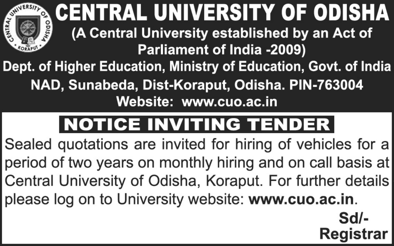

**, CENTRAL UNIVERSITY OF ODISHA** (A Central University established by an Act of Parliament of India -2009) Dept. of Higher Education, Ministry of Education, Govt. of India

NAD, Sunabeda, Dist-Koraput, Odisha. PIN-763004 Website: www.cuo.ac.in

#### **NOTICE INVITING TENDER**

Sealed quotations are invited for hiring of vehicles for a period of two years on monthly hiring and on call basis at Central University of Odisha, Koraput. For further details please log on to University website: www.cuo.ac.in.

> $Sd$ **Registrar**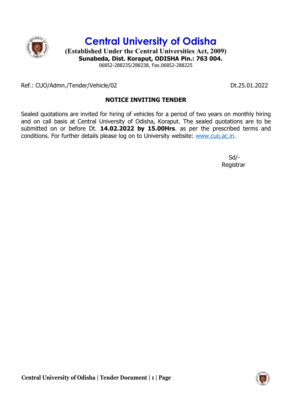

Central University of Odisha

(Established Under the Central Universities Act, 2009) Sunabeda, Dist. Koraput, ODISHA Pin.: 763 004. 06852-288235/288238, Fax.06852-288225

Ref.: CUO/Admn./Tender/Vehicle/02 Dt.25.01.2022

## NOTICE INVITING TENDER

Sealed quotations are invited for hiring of vehicles for a period of two years on monthly hiring and on call basis at Central University of Odisha, Koraput. The sealed quotations are to be submitted on or before Dt. 14.02.2022 by 15.00Hrs. as per the prescribed terms and conditions. For further details please log on to University website: www.cuo.ac.in.

 Sd/- Registrar

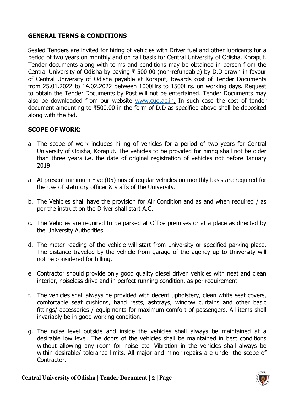## GENERAL TERMS & CONDITIONS

Sealed Tenders are invited for hiring of vehicles with Driver fuel and other lubricants for a period of two years on monthly and on call basis for Central University of Odisha, Koraput. Tender documents along with terms and conditions may be obtained in person from the Central University of Odisha by paying ₹ 500.00 (non-refundable) by D.D drawn in favour of Central University of Odisha payable at Koraput, towards cost of Tender Documents from 25.01.2022 to 14.02.2022 between 1000Hrs to 1500Hrs. on working days. Request to obtain the Tender Documents by Post will not be entertained. Tender Documents may also be downloaded from our website www.cuo.ac.in. In such case the cost of tender document amounting to ₹500.00 in the form of D.D as specified above shall be deposited along with the bid.

### SCOPE OF WORK:

- a. The scope of work includes hiring of vehicles for a period of two years for Central University of Odisha, Koraput. The vehicles to be provided for hiring shall not be older than three years i.e. the date of original registration of vehicles not before January 2019.
- a. At present minimum Five (05) nos of regular vehicles on monthly basis are required for the use of statutory officer & staffs of the University.
- b. The Vehicles shall have the provision for Air Condition and as and when required / as per the instruction the Driver shall start A.C.
- c. The Vehicles are required to be parked at Office premises or at a place as directed by the University Authorities.
- d. The meter reading of the vehicle will start from university or specified parking place. The distance traveled by the vehicle from garage of the agency up to University will not be considered for billing.
- e. Contractor should provide only good quality diesel driven vehicles with neat and clean interior, noiseless drive and in perfect running condition, as per requirement.
- f. The vehicles shall always be provided with decent upholstery, clean white seat covers, comfortable seat cushions, hand rests, ashtrays, window curtains and other basic fittings/ accessories / equipments for maximum comfort of passengers. All items shall invariably be in good working condition.
- g. The noise level outside and inside the vehicles shall always be maintained at a desirable low level. The doors of the vehicles shall be maintained in best conditions without allowing any room for noise etc. Vibration in the vehicles shall always be within desirable/ tolerance limits. All major and minor repairs are under the scope of Contractor.

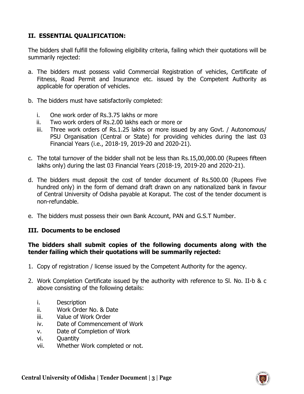## II. ESSENTIAL QUALIFICATION:

The bidders shall fulfill the following eligibility criteria, failing which their quotations will be summarily rejected:

- a. The bidders must possess valid Commercial Registration of vehicles, Certificate of Fitness, Road Permit and Insurance etc. issued by the Competent Authority as applicable for operation of vehicles.
- b. The bidders must have satisfactorily completed:
	- i. One work order of Rs.3.75 lakhs or more
	- ii. Two work orders of Rs.2.00 lakhs each or more or
	- iii. Three work orders of Rs.1.25 lakhs or more issued by any Govt. / Autonomous/ PSU Organisation (Central or State) for providing vehicles during the last 03 Financial Years (i.e., 2018-19, 2019-20 and 2020-21).
- c. The total turnover of the bidder shall not be less than Rs.15,00,000.00 (Rupees fifteen lakhs only) during the last 03 Financial Years (2018-19, 2019-20 and 2020-21).
- d. The bidders must deposit the cost of tender document of Rs.500.00 (Rupees Five hundred only) in the form of demand draft drawn on any nationalized bank in favour of Central University of Odisha payable at Koraput. The cost of the tender document is non-refundable.
- e. The bidders must possess their own Bank Account, PAN and G.S.T Number.

## III. Documents to be enclosed

### The bidders shall submit copies of the following documents along with the tender failing which their quotations will be summarily rejected:

- 1. Copy of registration / license issued by the Competent Authority for the agency.
- 2. Work Completion Certificate issued by the authority with reference to Sl. No. II-b & c above consisting of the following details:
	- i. Description
	- ii. Work Order No. & Date
	- iii. Value of Work Order
	- iv. Date of Commencement of Work
	- v. Date of Completion of Work
	- vi. Quantity
	- vii. Whether Work completed or not.

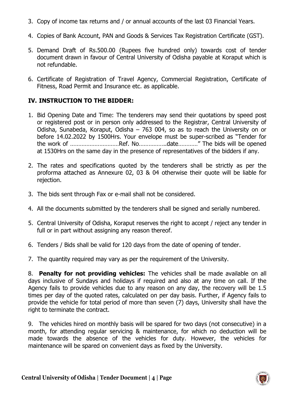- 3. Copy of income tax returns and / or annual accounts of the last 03 Financial Years.
- 4. Copies of Bank Account, PAN and Goods & Services Tax Registration Certificate (GST).
- 5. Demand Draft of Rs.500.00 (Rupees five hundred only) towards cost of tender document drawn in favour of Central University of Odisha payable at Koraput which is not refundable.
- 6. Certificate of Registration of Travel Agency, Commercial Registration, Certificate of Fitness, Road Permit and Insurance etc. as applicable.

## IV. INSTRUCTION TO THE BIDDER:

- 1. Bid Opening Date and Time: The tenderers may send their quotations by speed post or registered post or in person only addressed to the Registrar, Central University of Odisha, Sunabeda, Koraput, Odisha – 763 004, so as to reach the University on or before 14.02.2022 by 1500Hrs. Your envelope must be super-scribed as "Tender for the work of …………………………Ref. No……………..date…………" The bids will be opened at 1530Hrs on the same day in the presence of representatives of the bidders if any.
- 2. The rates and specifications quoted by the tenderers shall be strictly as per the proforma attached as Annexure 02, 03 & 04 otherwise their quote will be liable for rejection.
- 3. The bids sent through Fax or e-mail shall not be considered.
- 4. All the documents submitted by the tenderers shall be signed and serially numbered.
- 5. Central University of Odisha, Koraput reserves the right to accept / reject any tender in full or in part without assigning any reason thereof.
- 6. Tenders / Bids shall be valid for 120 days from the date of opening of tender.
- 7. The quantity required may vary as per the requirement of the University.

8. Penalty for not providing vehicles: The vehicles shall be made available on all days inclusive of Sundays and holidays if required and also at any time on call. If the Agency fails to provide vehicles due to any reason on any day, the recovery will be 1.5 times per day of the quoted rates, calculated on per day basis. Further, if Agency fails to provide the vehicle for total period of more than seven (7) days, University shall have the right to terminate the contract.

9. The vehicles hired on monthly basis will be spared for two days (not consecutive) in a month, for attending regular servicing & maintenance, for which no deduction will be made towards the absence of the vehicles for duty. However, the vehicles for maintenance will be spared on convenient days as fixed by the University.

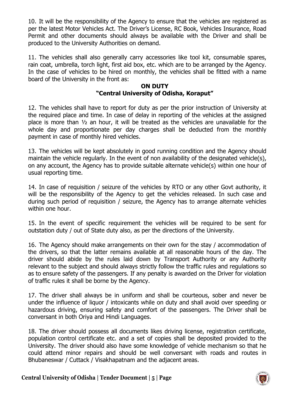10. It will be the responsibility of the Agency to ensure that the vehicles are registered as per the latest Motor Vehicles Act. The Driver's License, RC Book, Vehicles Insurance, Road Permit and other documents should always be available with the Driver and shall be produced to the University Authorities on demand.

11. The vehicles shall also generally carry accessories like tool kit, consumable spares, rain coat, umbrella, torch light, first aid box, etc. which are to be arranged by the Agency. In the case of vehicles to be hired on monthly, the vehicles shall be fitted with a name board of the University in the front as:

### ON DUTY "Central University of Odisha, Koraput"

12. The vehicles shall have to report for duty as per the prior instruction of University at the required place and time. In case of delay in reporting of the vehicles at the assigned place is more than ½ an hour, it will be treated as the vehicles are unavailable for the whole day and proportionate per day charges shall be deducted from the monthly payment in case of monthly hired vehicles.

13. The vehicles will be kept absolutely in good running condition and the Agency should maintain the vehicle regularly. In the event of non availability of the designated vehicle(s), on any account, the Agency has to provide suitable alternate vehicle(s) within one hour of usual reporting time.

14. In case of requisition / seizure of the vehicles by RTO or any other Govt authority, it will be the responsibility of the Agency to get the vehicles released. In such case and during such period of requisition / seizure, the Agency has to arrange alternate vehicles within one hour.

15. In the event of specific requirement the vehicles will be required to be sent for outstation duty / out of State duty also, as per the directions of the University.

16. The Agency should make arrangements on their own for the stay / accommodation of the drivers, so that the latter remains available at all reasonable hours of the day. The driver should abide by the rules laid down by Transport Authority or any Authority relevant to the subject and should always strictly follow the traffic rules and regulations so as to ensure safety of the passengers. If any penalty is awarded on the Driver for violation of traffic rules it shall be borne by the Agency.

17. The driver shall always be in uniform and shall be courteous, sober and never be under the influence of liquor / intoxicants while on duty and shall avoid over speeding or hazardous driving, ensuring safety and comfort of the passengers. The Driver shall be conversant in both Oriya and Hindi Languages.

18. The driver should possess all documents likes driving license, registration certificate, population control certificate etc. and a set of copies shall be deposited provided to the University. The driver should also have some knowledge of vehicle mechanism so that he could attend minor repairs and should be well conversant with roads and routes in Bhubaneswar / Cuttack / Visakhapatnam and the adjacent areas.

Central University of Odisha | Tender Document | 5 | Page

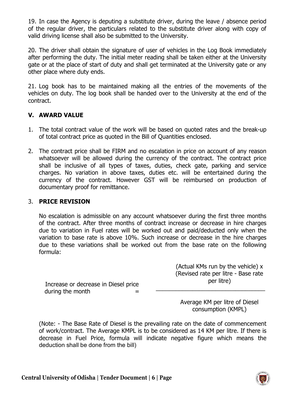19. In case the Agency is deputing a substitute driver, during the leave / absence period of the regular driver, the particulars related to the substitute driver along with copy of valid driving license shall also be submitted to the University.

20. The driver shall obtain the signature of user of vehicles in the Log Book immediately after performing the duty. The initial meter reading shall be taken either at the University gate or at the place of start of duty and shall get terminated at the University gate or any other place where duty ends.

21. Log book has to be maintained making all the entries of the movements of the vehicles on duty. The log book shall be handed over to the University at the end of the contract.

## V. AWARD VALUE

- 1. The total contract value of the work will be based on quoted rates and the break-up of total contract price as quoted in the Bill of Quantities enclosed.
- 2. The contract price shall be FIRM and no escalation in price on account of any reason whatsoever will be allowed during the currency of the contract. The contract price shall be inclusive of all types of taxes, duties, check gate, parking and service charges. No variation in above taxes, duties etc. will be entertained during the currency of the contract. However GST will be reimbursed on production of documentary proof for remittance.

## 3. PRICE REVISION

No escalation is admissible on any account whatsoever during the first three months of the contract. After three months of contract increase or decrease in hire charges due to variation in Fuel rates will be worked out and paid/deducted only when the variation to base rate is above 10%. Such increase or decrease in the hire charges due to these variations shall be worked out from the base rate on the following formula:

|           | (Actual KMs run by the vehicle) x   |
|-----------|-------------------------------------|
|           | (Revised rate per litre - Base rate |
| sel price | per litre)                          |
|           |                                     |

Increase or decrease in Dies during the month

> Average KM per litre of Diesel consumption (KMPL)

(Note: - The Base Rate of Diesel is the prevailing rate on the date of commencement of work/contract. The Average KMPL is to be considered as 14 KM per litre. If there is decrease in Fuel Price, formula will indicate negative figure which means the deduction shall be done from the bill)

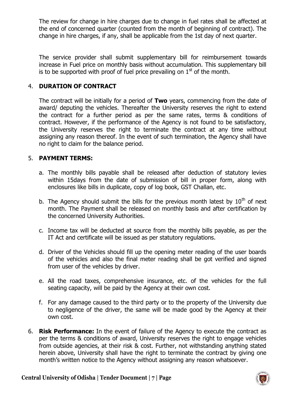The review for change in hire charges due to change in fuel rates shall be affected at the end of concerned quarter (counted from the month of beginning of contract). The change in hire charges, if any, shall be applicable from the 1st day of next quarter.

The service provider shall submit supplementary bill for reimbursement towards increase in Fuel price on monthly basis without accumulation. This supplementary bill is to be supported with proof of fuel price prevailing on  $1<sup>st</sup>$  of the month.

## 4. DURATION OF CONTRACT

The contract will be initially for a period of **Two** years, commencing from the date of award/ deputing the vehicles. Thereafter the University reserves the right to extend the contract for a further period as per the same rates, terms & conditions of contract. However, if the performance of the Agency is not found to be satisfactory, the University reserves the right to terminate the contract at any time without assigning any reason thereof. In the event of such termination, the Agency shall have no right to claim for the balance period.

### 5. PAYMENT TERMS:

- a. The monthly bills payable shall be released after deduction of statutory levies within 15days from the date of submission of bill in proper form, along with enclosures like bills in duplicate, copy of log book, GST Challan, etc.
- b. The Agency should submit the bills for the previous month latest by  $10<sup>th</sup>$  of next month. The Payment shall be released on monthly basis and after certification by the concerned University Authorities.
- c. Income tax will be deducted at source from the monthly bills payable, as per the IT Act and certificate will be issued as per statutory regulations.
- d. Driver of the Vehicles should fill up the opening meter reading of the user boards of the vehicles and also the final meter reading shall be got verified and signed from user of the vehicles by driver.
- e. All the road taxes, comprehensive insurance, etc. of the vehicles for the full seating capacity, will be paid by the Agency at their own cost.
- f. For any damage caused to the third party or to the property of the University due to negligence of the driver, the same will be made good by the Agency at their own cost.
- 6. Risk Performance: In the event of failure of the Agency to execute the contract as per the terms & conditions of award, University reserves the right to engage vehicles from outside agencies, at their risk & cost. Further, not withstanding anything stated herein above, University shall have the right to terminate the contract by giving one month's written notice to the Agency without assigning any reason whatsoever.

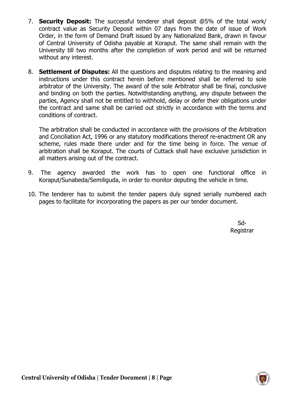- 7. **Security Deposit:** The successful tenderer shall deposit @5% of the total work/ contract value as Security Deposit within 07 days from the date of issue of Work Order, in the form of Demand Draft issued by any Nationalized Bank, drawn in favour of Central University of Odisha payable at Koraput. The same shall remain with the University till two months after the completion of work period and will be returned without any interest.
- 8. **Settlement of Disputes:** All the questions and disputes relating to the meaning and instructions under this contract herein before mentioned shall be referred to sole arbitrator of the University. The award of the sole Arbitrator shall be final, conclusive and binding on both the parties. Notwithstanding anything, any dispute between the parties, Agency shall not be entitled to withhold, delay or defer their obligations under the contract and same shall be carried out strictly in accordance with the terms and conditions of contract.

The arbitration shall be conducted in accordance with the provisions of the Arbitration and Conciliation Act, 1996 or any statutory modifications thereof re-enactment OR any scheme, rules made there under and for the time being in force. The venue of arbitration shall be Koraput. The courts of Cuttack shall have exclusive jurisdiction in all matters arising out of the contract.

- 9. The agency awarded the work has to open one functional office in Koraput/Sunabeda/Semiliguda, in order to monitor deputing the vehicle in time.
- 10. The tenderer has to submit the tender papers duly signed serially numbered each pages to facilitate for incorporating the papers as per our tender document.

**Sd-Sd-Research State State State State State State State State State State State State State State State State** Registrar

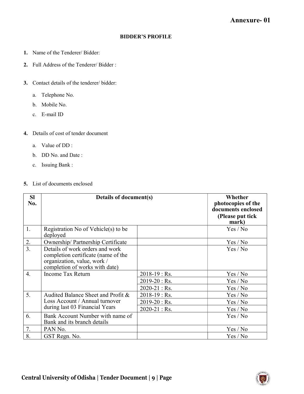#### BIDDER'S PROFILE

- 1. Name of the Tenderer/ Bidder:
- 2. Full Address of the Tenderer/ Bidder :
- 3. Contact details of the tenderer/ bidder:
	- a. Telephone No.
	- b. Mobile No.
	- c. E-mail ID
- 4. Details of cost of tender document
	- a. Value of DD :
	- b. DD No. and Date :
	- c. Issuing Bank :

#### 5. List of documents enclosed

| <b>SI</b><br>No. | Details of document(s)                                                                                                                  |                   | Whether<br>photocopies of the<br>documents enclosed<br>(Please put tick)<br>mark) |
|------------------|-----------------------------------------------------------------------------------------------------------------------------------------|-------------------|-----------------------------------------------------------------------------------|
| 1.               | Registration No of Vehicle(s) to be<br>deployed                                                                                         |                   | Yes / No                                                                          |
| 2.               | Ownership/Partnership Certificate                                                                                                       |                   | Yes / No                                                                          |
| $\overline{3}$ . | Details of work orders and work<br>completion certificate (name of the<br>organization, value, work /<br>completion of works with date) |                   | Yes / No                                                                          |
| $\overline{4}$ . | Income Tax Return                                                                                                                       | $2018 - 19$ : Rs. | Yes / No                                                                          |
|                  |                                                                                                                                         | $2019 - 20$ : Rs. | Yes / No                                                                          |
|                  |                                                                                                                                         | $2020 - 21$ : Rs. | Yes / No                                                                          |
| 5.               | Audited Balance Sheet and Profit &                                                                                                      | $2018 - 19$ : Rs. | Yes / No                                                                          |
|                  | Loss Account / Annual turnover                                                                                                          | $2019 - 20$ : Rs. | Yes / No                                                                          |
|                  | during last 03 Financial Years                                                                                                          | $2020 - 21$ : Rs. | Yes / No                                                                          |
| 6.               | Bank Account Number with name of<br>Bank and its branch details                                                                         |                   | Yes / No                                                                          |
| 7.               | PAN No.                                                                                                                                 |                   | Yes / No                                                                          |
| 8.               | GST Regn. No.                                                                                                                           |                   | Yes / No                                                                          |

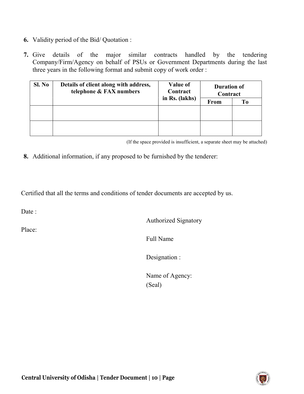- 6. Validity period of the Bid/ Quotation :
- 7. Give details of the major similar contracts handled by the tendering Company/Firm/Agency on behalf of PSUs or Government Departments during the last three years in the following format and submit copy of work order :

| Details of client along with address,<br>Sl. No<br>telephone & FAX numbers |  | <b>Value of</b><br>Contract | <b>Duration of</b><br>Contract |    |  |
|----------------------------------------------------------------------------|--|-----------------------------|--------------------------------|----|--|
|                                                                            |  | in Rs. (lakhs)              | <b>From</b>                    | Tо |  |
|                                                                            |  |                             |                                |    |  |
|                                                                            |  |                             |                                |    |  |
|                                                                            |  |                             |                                |    |  |
|                                                                            |  |                             |                                |    |  |

(If the space provided is insufficient, a separate sheet may be attached)

8. Additional information, if any proposed to be furnished by the tenderer:

Certified that all the terms and conditions of tender documents are accepted by us.

Date:

Place:

Authorized Signatory

Full Name

Designation :

Name of Agency: (Seal)

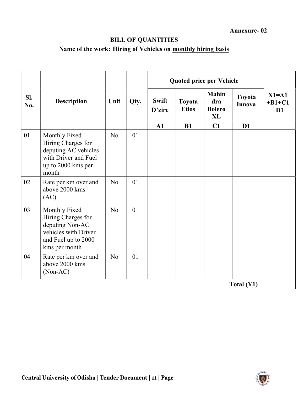## BILL OF QUANTITIES

# Name of the work: Hiring of Vehicles on monthly hiring basis

|            |                                                                                                                        |                |      | <b>Quoted price per Vehicle</b> |                        |                                                   |                  |                                |
|------------|------------------------------------------------------------------------------------------------------------------------|----------------|------|---------------------------------|------------------------|---------------------------------------------------|------------------|--------------------------------|
| SI.<br>No. | <b>Description</b>                                                                                                     | Unit           | Qty. | <b>Swift</b><br>D'zire          | Toyota<br><b>Etios</b> | <b>Mahin</b><br>dra<br><b>Bolero</b><br><b>XL</b> | Toyota<br>Innova | $X1 = A1$<br>$+B1+C1$<br>$+D1$ |
|            |                                                                                                                        |                |      | ${\bf A1}$                      | <b>B1</b>              | C1                                                | $\mathbf{D}1$    |                                |
| 01         | Monthly Fixed<br>Hiring Charges for<br>deputing AC vehicles<br>with Driver and Fuel<br>up to 2000 kms per<br>month     | N <sub>o</sub> | 01   |                                 |                        |                                                   |                  |                                |
| 02         | Rate per km over and<br>above 2000 kms<br>(AC)                                                                         | No             | 01   |                                 |                        |                                                   |                  |                                |
| 03         | Monthly Fixed<br>Hiring Charges for<br>deputing Non-AC<br>vehicles with Driver<br>and Fuel up to 2000<br>kms per month | N <sub>o</sub> | 01   |                                 |                        |                                                   |                  |                                |
| 04         | Rate per km over and<br>above 2000 kms<br>$(Non-AC)$                                                                   | N <sub>o</sub> | 01   |                                 |                        |                                                   |                  |                                |
|            |                                                                                                                        |                |      |                                 |                        |                                                   | Total $(Y1)$     |                                |

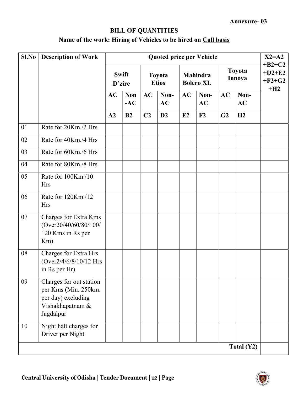## BILL OF QUANTITIES

# Name of the work: Hiring of Vehicles to be hired on Call basis

| Sl.No | <b>Description of Work</b>                                                                             | <b>Quoted price per Vehicle</b> |                     |                        |                   |                                     |                   |                  |                   | $X2 = A2$                        |
|-------|--------------------------------------------------------------------------------------------------------|---------------------------------|---------------------|------------------------|-------------------|-------------------------------------|-------------------|------------------|-------------------|----------------------------------|
|       |                                                                                                        | <b>Swift</b><br>D'zire          |                     | Toyota<br><b>Etios</b> |                   | <b>Mahindra</b><br><b>Bolero XL</b> |                   | Toyota<br>Innova |                   | $+B2+C2$<br>$+D2+E2$<br>$+F2+G2$ |
|       |                                                                                                        | <b>AC</b>                       | <b>Non</b><br>$-AC$ | AC                     | Non-<br><b>AC</b> | AC                                  | Non-<br><b>AC</b> | AC               | Non-<br><b>AC</b> | $+H2$                            |
|       |                                                                                                        | A2                              | B2                  | C <sub>2</sub>         | D2                | E2                                  | F2                | G2               | H2                |                                  |
| 01    | Rate for 20Km./2 Hrs                                                                                   |                                 |                     |                        |                   |                                     |                   |                  |                   |                                  |
| 02    | Rate for 40Km./4 Hrs                                                                                   |                                 |                     |                        |                   |                                     |                   |                  |                   |                                  |
| 03    | Rate for 60Km./6 Hrs                                                                                   |                                 |                     |                        |                   |                                     |                   |                  |                   |                                  |
| 04    | Rate for 80Km./8 Hrs                                                                                   |                                 |                     |                        |                   |                                     |                   |                  |                   |                                  |
| 05    | Rate for 100Km./10<br><b>Hrs</b>                                                                       |                                 |                     |                        |                   |                                     |                   |                  |                   |                                  |
| 06    | Rate for 120Km./12<br><b>Hrs</b>                                                                       |                                 |                     |                        |                   |                                     |                   |                  |                   |                                  |
| 07    | Charges for Extra Kms<br>(Over20/40/60/80/100/<br>120 Kms in Rs per<br>Km)                             |                                 |                     |                        |                   |                                     |                   |                  |                   |                                  |
| 08    | Charges for Extra Hrs<br>(Over2/4/6/8/10/12 Hrs<br>in Rs per Hr)                                       |                                 |                     |                        |                   |                                     |                   |                  |                   |                                  |
| 09    | Charges for out station<br>per Kms (Min. 250km.<br>per day) excluding<br>Vishakhapatnam &<br>Jagdalpur |                                 |                     |                        |                   |                                     |                   |                  |                   |                                  |
| 10    | Night halt charges for<br>Driver per Night                                                             |                                 |                     |                        |                   |                                     |                   |                  |                   |                                  |
|       |                                                                                                        |                                 |                     |                        |                   |                                     |                   |                  | Total $(Y2)$      |                                  |



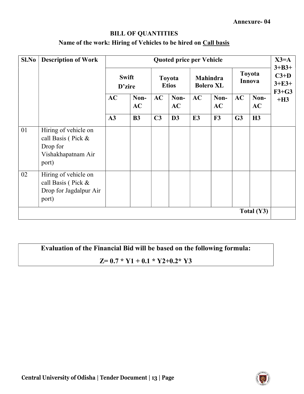## BILL OF QUANTITIES

## Name of the work: Hiring of Vehicles to be hired on Call basis

| Sl.No | <b>Description of Work</b>                                                            | <b>Quoted price per Vehicle</b> |            |                        |            |                                     |            |                         |              | $X3=A$                                     |
|-------|---------------------------------------------------------------------------------------|---------------------------------|------------|------------------------|------------|-------------------------------------|------------|-------------------------|--------------|--------------------------------------------|
|       |                                                                                       | <b>Swift</b><br>D'zire          |            | Toyota<br><b>Etios</b> |            | <b>Mahindra</b><br><b>Bolero XL</b> |            | Toyota<br><b>Innova</b> |              | $3 + B3 +$<br>$C3+D$<br>$3+E3+$<br>$F3+G3$ |
|       |                                                                                       | AC                              | Non-<br>AC | AC                     | Non-<br>AC | AC                                  | Non-<br>AC | AC                      | Non-<br>AC   | $+H3$                                      |
|       |                                                                                       | A3                              | <b>B3</b>  | C <sub>3</sub>         | D3         | E <sub>3</sub>                      | F3         | G <sub>3</sub>          | H3           |                                            |
| 01    | Hiring of vehicle on<br>call Basis (Pick &<br>Drop for<br>Vishakhapatnam Air<br>port) |                                 |            |                        |            |                                     |            |                         |              |                                            |
| 02    | Hiring of vehicle on<br>call Basis (Pick &<br>Drop for Jagdalpur Air<br>port)         |                                 |            |                        |            |                                     |            |                         |              |                                            |
|       |                                                                                       |                                 |            |                        |            |                                     |            |                         | Total $(Y3)$ |                                            |

Evaluation of the Financial Bid will be based on the following formula:

## $Z= 0.7 * Y1 + 0.1 * Y2 + 0.2 * Y3$